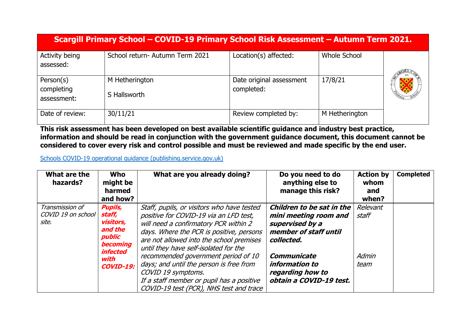|                                        | Scargill Primary School - COVID-19 Primary School Risk Assessment - Autumn Term 2021. |                                        |                |  |  |  |  |
|----------------------------------------|---------------------------------------------------------------------------------------|----------------------------------------|----------------|--|--|--|--|
| Activity being<br>assessed:            | School return- Autumn Term 2021                                                       | Location(s) affected:                  | Whole School   |  |  |  |  |
| Person(s)<br>completing<br>assessment: | M Hetherington<br>S Hallsworth                                                        | Date original assessment<br>completed: | 17/8/21        |  |  |  |  |
| Date of review:                        | 30/11/21                                                                              | Review completed by:                   | M Hetherington |  |  |  |  |

**This risk assessment has been developed on best available scientific guidance and industry best practice, information and should be read in conjunction with the government guidance document, this document cannot be considered to cover every risk and control possible and must be reviewed and made specific by the end user.** 

[Schools COVID-19 operational guidance \(publishing.service.gov.uk\)](https://assets.publishing.service.gov.uk/government/uploads/system/uploads/attachment_data/file/999689/Schools_guidance_Step_4_update_FINAL.pdf)

| What are the<br>hazards?              | <b>Who</b><br>might be<br>harmed<br>and how?                         | What are you already doing?                                                                                                                                            | Do you need to do<br>anything else to<br>manage this risk? | <b>Action by</b><br>whom<br>and<br>when? | <b>Completed</b> |
|---------------------------------------|----------------------------------------------------------------------|------------------------------------------------------------------------------------------------------------------------------------------------------------------------|------------------------------------------------------------|------------------------------------------|------------------|
| Transmission of<br>COVID 19 on school | <b>Pupils,</b><br>staff,                                             | Staff, pupils, or visitors who have tested<br>positive for COVID-19 via an LFD test,                                                                                   | Children to be sat in the<br>mini meeting room and         | Relevant<br>staff                        |                  |
| site.                                 | visitors,<br>and the<br>public<br><b>becoming</b><br><i>infected</i> | will need a confirmatory PCR within 2<br>days. Where the PCR is positive, persons<br>are not allowed into the school premises<br>until they have self-isolated for the | supervised by a<br>member of staff until<br>collected.     |                                          |                  |
|                                       | with                                                                 | recommended government period of 10<br>days; and until the person is free from                                                                                         | Communicate<br>information to                              | Admin                                    |                  |
|                                       | <b>COVID-19:</b>                                                     | COVID 19 symptoms.                                                                                                                                                     | regarding how to                                           | team                                     |                  |
|                                       |                                                                      | If a staff member or pupil has a positive<br>COVID-19 test (PCR), NHS test and trace                                                                                   | obtain a COVID-19 test.                                    |                                          |                  |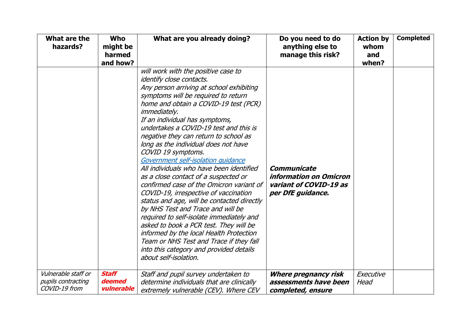| What are the<br>hazards?                                   | <b>Who</b><br>might be<br>harmed<br>and how? | What are you already doing?                                                                                                                                                                                                                                                                                                                                                                                                                                                                                                                                                                                                                                                                                                                                                                                                                                                                                                                             | Do you need to do<br>anything else to<br>manage this risk?                                  | <b>Action by</b><br>whom<br>and<br>when? | <b>Completed</b> |
|------------------------------------------------------------|----------------------------------------------|---------------------------------------------------------------------------------------------------------------------------------------------------------------------------------------------------------------------------------------------------------------------------------------------------------------------------------------------------------------------------------------------------------------------------------------------------------------------------------------------------------------------------------------------------------------------------------------------------------------------------------------------------------------------------------------------------------------------------------------------------------------------------------------------------------------------------------------------------------------------------------------------------------------------------------------------------------|---------------------------------------------------------------------------------------------|------------------------------------------|------------------|
|                                                            |                                              | will work with the positive case to<br>identify close contacts.<br>Any person arriving at school exhibiting<br>symptoms will be required to return<br>home and obtain a COVID-19 test (PCR)<br><i>immediately.</i><br>If an individual has symptoms,<br>undertakes a COVID-19 test and this is<br>negative they can return to school as<br>long as the individual does not have<br>COVID 19 symptoms.<br>Government self-isolation quidance<br>All individuals who have been identified<br>as a close contact of a suspected or<br>confirmed case of the Omicron variant of<br>COVID-19, irrespective of vaccination<br>status and age, will be contacted directly<br>by NHS Test and Trace and will be<br>required to self-isolate immediately and<br>asked to book a PCR test. They will be<br>informed by the local Health Protection<br>Team or NHS Test and Trace if they fall<br>into this category and provided details<br>about self-isolation. | Communicate<br><i>information on Omicron</i><br>variant of COVID-19 as<br>per DfE guidance. |                                          |                  |
| Vulnerable staff or<br>pupils contracting<br>COVID-19 from | <b>Staff</b><br>deemed<br>vulnerable         | Staff and pupil survey undertaken to<br>determine individuals that are clinically<br>extremely vulnerable (CEV). Where CEV                                                                                                                                                                                                                                                                                                                                                                                                                                                                                                                                                                                                                                                                                                                                                                                                                              | Where pregnancy risk<br>assessments have been<br>completed, ensure                          | Executive<br>Head                        |                  |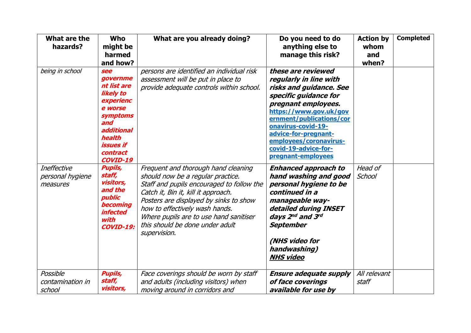| What are the<br>hazards?                           | <b>Who</b><br>might be<br>harmed<br>and how?                                                                                                               | What are you already doing?                                                                                                                                                                                                                                                                                                           | Do you need to do<br>anything else to<br>manage this risk?                                                                                                                                                                                                                                          | <b>Action by</b><br>whom<br>and<br>when? | <b>Completed</b> |
|----------------------------------------------------|------------------------------------------------------------------------------------------------------------------------------------------------------------|---------------------------------------------------------------------------------------------------------------------------------------------------------------------------------------------------------------------------------------------------------------------------------------------------------------------------------------|-----------------------------------------------------------------------------------------------------------------------------------------------------------------------------------------------------------------------------------------------------------------------------------------------------|------------------------------------------|------------------|
| being in school                                    | see<br>governme<br>nt list are<br>likely to<br>experienc<br>e worse<br>symptoms<br>and<br>additional<br>health<br>issues if<br>contract<br><b>COVID-19</b> | persons are identified an individual risk<br>assessment will be put in place to<br>provide adequate controls within school.                                                                                                                                                                                                           | these are reviewed<br>regularly in line with<br>risks and guidance. See<br>specific guidance for<br>pregnant employees.<br>https://www.gov.uk/gov<br>ernment/publications/cor<br>onavirus-covid-19-<br>advice-for-pregnant-<br>employees/coronavirus-<br>covid-19-advice-for-<br>pregnant-employees |                                          |                  |
| <b>Ineffective</b><br>personal hygiene<br>measures | <b>Pupils,</b><br>staff,<br>visitors,<br>and the<br>public<br><b>becoming</b><br><i><b>infected</b></i><br>with<br><b>COVID-19:</b>                        | Frequent and thorough hand cleaning<br>should now be a regular practice.<br>Staff and pupils encouraged to follow the<br>Catch it, Bin it, kill it approach.<br>Posters are displayed by sinks to show<br>how to effectively wash hands.<br>Where pupils are to use hand sanitiser<br>this should be done under adult<br>supervision. | <b>Enhanced approach to</b><br>hand washing and good<br>personal hygiene to be<br>continued in a<br>manageable way-<br>detailed during INSET<br>days 2nd and 3rd<br><b>September</b><br>(NHS video for<br>handwashing)<br><b>NHS video</b>                                                          | Head of<br>School                        |                  |
| Possible<br>contamination in<br>school             | <b>Pupils,</b><br>staff,<br>visitors,                                                                                                                      | Face coverings should be worn by staff<br>and adults (including visitors) when<br>moving around in corridors and                                                                                                                                                                                                                      | <b>Ensure adequate supply</b><br>of face coverings<br>available for use by                                                                                                                                                                                                                          | All relevant<br>staff                    |                  |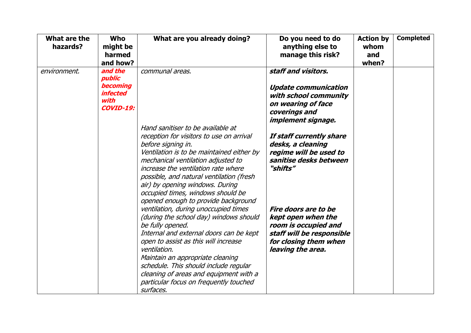| What are the<br>hazards? | Who<br>might be<br>harmed<br>and how?                                               | What are you already doing?                                                                                                                                                                                                               | Do you need to do<br>anything else to<br>manage this risk?                                                                                    | <b>Action by</b><br>whom<br>and<br>when? | <b>Completed</b> |
|--------------------------|-------------------------------------------------------------------------------------|-------------------------------------------------------------------------------------------------------------------------------------------------------------------------------------------------------------------------------------------|-----------------------------------------------------------------------------------------------------------------------------------------------|------------------------------------------|------------------|
| environment.             | and the<br>public<br><b>becoming</b><br><i>infected</i><br>with<br><b>COVID-19:</b> | communal areas.                                                                                                                                                                                                                           | staff and visitors.<br><b>Update communication</b><br>with school community<br>on wearing of face<br>coverings and                            |                                          |                  |
|                          |                                                                                     | Hand sanitiser to be available at<br>reception for visitors to use on arrival<br>before signing in.<br>Ventilation is to be maintained either by                                                                                          | implement signage.<br>If staff currently share<br>desks, a cleaning<br>regime will be used to                                                 |                                          |                  |
|                          |                                                                                     | mechanical ventilation adjusted to<br>increase the ventilation rate where<br>possible, and natural ventilation (fresh<br>air) by opening windows. During<br>occupied times, windows should be<br>opened enough to provide background      | sanitise desks between<br>"shifts"                                                                                                            |                                          |                  |
|                          |                                                                                     | ventilation, during unoccupied times<br>(during the school day) windows should<br>be fully opened.<br>Internal and external doors can be kept<br>open to assist as this will increase<br>ventilation.<br>Maintain an appropriate cleaning | Fire doors are to be<br>kept open when the<br>room is occupied and<br>staff will be responsible<br>for closing them when<br>leaving the area. |                                          |                  |
|                          |                                                                                     | schedule. This should include regular<br>cleaning of areas and equipment with a<br>particular focus on frequently touched<br>surfaces.                                                                                                    |                                                                                                                                               |                                          |                  |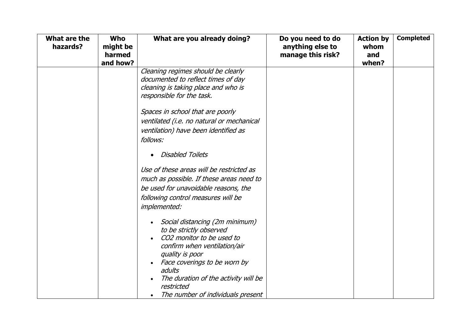| What are the<br>hazards? | <b>Who</b><br>might be<br>harmed<br>and how? | What are you already doing?                                                                                                                                                                                                                                                                              | Do you need to do<br>anything else to<br>manage this risk? | <b>Action by</b><br>whom<br>and<br>when? | <b>Completed</b> |
|--------------------------|----------------------------------------------|----------------------------------------------------------------------------------------------------------------------------------------------------------------------------------------------------------------------------------------------------------------------------------------------------------|------------------------------------------------------------|------------------------------------------|------------------|
|                          |                                              | Cleaning regimes should be clearly<br>documented to reflect times of day<br>cleaning is taking place and who is<br>responsible for the task.<br>Spaces in school that are poorly<br>ventilated (i.e. no natural or mechanical<br>ventilation) have been identified as                                    |                                                            |                                          |                  |
|                          |                                              | follows:<br><b>Disabled Toilets</b><br>Use of these areas will be restricted as<br>much as possible. If these areas need to<br>be used for unavoidable reasons, the<br>following control measures will be<br>implemented:                                                                                |                                                            |                                          |                  |
|                          |                                              | Social distancing (2m minimum)<br>$\bullet$<br>to be strictly observed<br>CO2 monitor to be used to<br>confirm when ventilation/air<br>quality is poor<br>Face coverings to be worn by<br>adults<br>The duration of the activity will be<br>$\bullet$<br>restricted<br>The number of individuals present |                                                            |                                          |                  |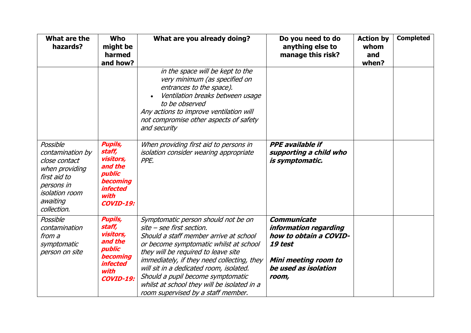| What are the<br>hazards?                                                                                                                          | <b>Who</b><br>might be<br>harmed<br>and how?                                                                                 | What are you already doing?                                                                                                                                                                                                                                                                                                                                                                                    | Do you need to do<br>anything else to<br>manage this risk?                                                                                | <b>Action by</b><br>whom<br>and<br>when? | <b>Completed</b> |
|---------------------------------------------------------------------------------------------------------------------------------------------------|------------------------------------------------------------------------------------------------------------------------------|----------------------------------------------------------------------------------------------------------------------------------------------------------------------------------------------------------------------------------------------------------------------------------------------------------------------------------------------------------------------------------------------------------------|-------------------------------------------------------------------------------------------------------------------------------------------|------------------------------------------|------------------|
|                                                                                                                                                   |                                                                                                                              | in the space will be kept to the<br>very minimum (as specified on<br>entrances to the space).<br>Ventilation breaks between usage<br>to be observed<br>Any actions to improve ventilation will<br>not compromise other aspects of safety<br>and security                                                                                                                                                       |                                                                                                                                           |                                          |                  |
| Possible<br>contamination by<br>close contact<br>when providing<br>first aid to<br>persons in<br><i>isolation room</i><br>awaiting<br>collection. | <b>Pupils,</b><br>staff,<br>visitors,<br>and the<br>public<br><b>becoming</b><br><i>infected</i><br>with<br><b>COVID-19:</b> | When providing first aid to persons in<br>isolation consider wearing appropriate<br>PPE.                                                                                                                                                                                                                                                                                                                       | <b>PPE</b> available if<br>supporting a child who<br>is symptomatic.                                                                      |                                          |                  |
| Possible<br>contamination<br>from a<br>symptomatic<br>person on site                                                                              | <b>Pupils,</b><br>staff,<br>visitors,<br>and the<br>public<br><b>becoming</b><br><i>infected</i><br>with<br><b>COVID-19:</b> | Symptomatic person should not be on<br>site - see first section.<br>Should a staff member arrive at school<br>or become symptomatic whilst at school<br>they will be required to leave site<br>immediately, if they need collecting, they<br>will sit in a dedicated room, isolated.<br>Should a pupil become symptomatic<br>whilst at school they will be isolated in a<br>room supervised by a staff member. | <b>Communicate</b><br>information regarding<br>how to obtain a COVID-<br>19 test<br>Mini meeting room to<br>be used as isolation<br>room, |                                          |                  |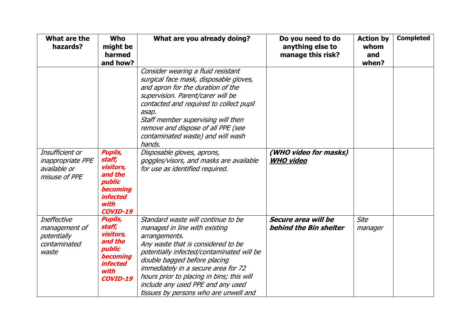| What are the<br>hazards?                                                     | <b>Who</b><br>might be<br>harmed<br>and how?                                                                                       | What are you already doing?                                                                                                                                                                                                                                                                                                                                               | Do you need to do<br>anything else to<br>manage this risk? | <b>Action by</b><br>whom<br>and<br>when? | <b>Completed</b> |
|------------------------------------------------------------------------------|------------------------------------------------------------------------------------------------------------------------------------|---------------------------------------------------------------------------------------------------------------------------------------------------------------------------------------------------------------------------------------------------------------------------------------------------------------------------------------------------------------------------|------------------------------------------------------------|------------------------------------------|------------------|
|                                                                              |                                                                                                                                    | Consider wearing a fluid resistant<br>surgical face mask, disposable gloves,<br>and apron for the duration of the<br>supervision. Parent/carer will be<br>contacted and required to collect pupil<br>asap.<br>Staff member supervising will then<br>remove and dispose of all PPE (see<br>contaminated waste) and will wash<br>hands.                                     |                                                            |                                          |                  |
| Insufficient or<br><i>inappropriate PPE</i><br>available or<br>misuse of PPE | <b>Pupils,</b><br>staff,<br>visitors,<br>and the<br>public<br><b>becoming</b><br><i>infected</i><br>with<br><b>COVID-19</b>        | Disposable gloves, aprons,<br>goggles/visors, and masks are available<br>for use as identified required.                                                                                                                                                                                                                                                                  | (WHO video for masks)<br><b>WHO video</b>                  |                                          |                  |
| <b>Ineffective</b><br>management of<br>potentially<br>contaminated<br>waste  | <b>Pupils,</b><br>staff,<br>visitors,<br>and the<br>public<br><b>becoming</b><br><i><b>infected</b></i><br>with<br><b>COVID-19</b> | Standard waste will continue to be<br>managed in line with existing<br>arrangements.<br>Any waste that is considered to be<br>potentially infected/contaminated will be<br>double bagged before placing<br>immediately in a secure area for 72<br>hours prior to placing in bins; this will<br>include any used PPE and any used<br>tissues by persons who are unwell and | Secure area will be<br>behind the Bin shelter              | <b>Site</b><br>manager                   |                  |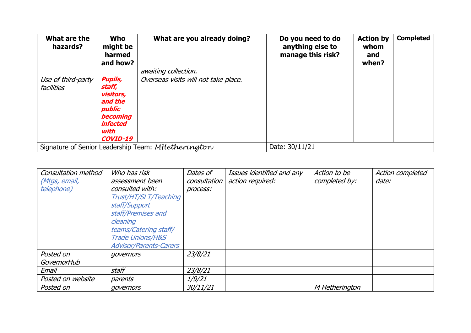| What are the<br>hazards?                                                                                                                                                                                | <b>Who</b><br>might be<br>harmed<br>and how? | What are you already doing?                        | Do you need to do<br>anything else to<br>manage this risk? | <b>Action by</b><br>whom<br>and<br>when? | <b>Completed</b> |
|---------------------------------------------------------------------------------------------------------------------------------------------------------------------------------------------------------|----------------------------------------------|----------------------------------------------------|------------------------------------------------------------|------------------------------------------|------------------|
|                                                                                                                                                                                                         |                                              | awaiting collection.                               |                                                            |                                          |                  |
| <b>Pupils,</b><br>Overseas visits will not take place.<br>Use of third-party<br>staff,<br>facilities<br>visitors,<br>and the<br>public<br><b>becoming</b><br><i>infected</i><br>with<br><b>COVID-19</b> |                                              |                                                    |                                                            |                                          |                  |
|                                                                                                                                                                                                         |                                              | Signature of Senior Leadership Team: MHetherington | Date: 30/11/21                                             |                                          |                  |

| Consultation method | Who has risk                  | Dates of     | Issues identified and any | Action to be   | Action completed |
|---------------------|-------------------------------|--------------|---------------------------|----------------|------------------|
| (Mtgs, email,       | assessment been               | consultation | action required:          | completed by:  | date:            |
| <i>telephone)</i>   | consulted with:               | process:     |                           |                |                  |
|                     | Trust/HT/SLT/Teaching         |              |                           |                |                  |
|                     | staff/Support                 |              |                           |                |                  |
|                     | staff/Premises and            |              |                           |                |                  |
|                     | cleaning                      |              |                           |                |                  |
|                     | teams/Catering staff/         |              |                           |                |                  |
|                     | <b>Trade Unions/H&amp;S</b>   |              |                           |                |                  |
|                     | <b>Advisor/Parents-Carers</b> |              |                           |                |                  |
| Posted on           | governors                     | 23/8/21      |                           |                |                  |
| GovernorHub         |                               |              |                           |                |                  |
| Email               | staff                         | 23/8/21      |                           |                |                  |
| Posted on website   | parents                       | 1/9/21       |                           |                |                  |
| Posted on           | governors                     | 30/11/21     |                           | M Hetherington |                  |